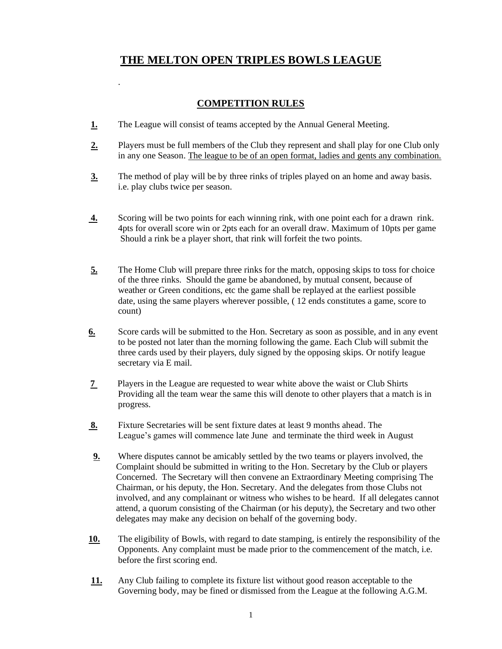## **THE MELTON OPEN TRIPLES BOWLS LEAGUE**

## **COMPETITION RULES**

**1.** The League will consist of teams accepted by the Annual General Meeting.

.

- **2.** Players must be full members of the Club they represent and shall play for one Club only in any one Season. The league to be of an open format, ladies and gents any combination.
- **3.** The method of play will be by three rinks of triples played on an home and away basis. i.e. play clubs twice per season.
- **4.** Scoring will be two points for each winning rink, with one point each for a drawn rink. 4pts for overall score win or 2pts each for an overall draw. Maximum of 10pts per game Should a rink be a player short, that rink will forfeit the two points.
- **5.** The Home Club will prepare three rinks for the match, opposing skips to toss for choice of the three rinks. Should the game be abandoned, by mutual consent, because of weather or Green conditions, etc the game shall be replayed at the earliest possible date, using the same players wherever possible, ( 12 ends constitutes a game, score to count)
- **6.** Score cards will be submitted to the Hon. Secretary as soon as possible, and in any event to be posted not later than the morning following the game. Each Club will submit the three cards used by their players, duly signed by the opposing skips. Or notify league secretary via E mail.
- **7** Players in the League are requested to wear white above the waist or Club Shirts Providing all the team wear the same this will denote to other players that a match is in progress.
- **8.** Fixture Secretaries will be sent fixture dates at least 9 months ahead. The League's games will commence late June and terminate the third week in August
- **9.** Where disputes cannot be amicably settled by the two teams or players involved, the Complaint should be submitted in writing to the Hon. Secretary by the Club or players Concerned. The Secretary will then convene an Extraordinary Meeting comprising The Chairman, or his deputy, the Hon. Secretary. And the delegates from those Clubs not involved, and any complainant or witness who wishes to be heard. If all delegates cannot attend, a quorum consisting of the Chairman (or his deputy), the Secretary and two other delegates may make any decision on behalf of the governing body.
- **10.** The eligibility of Bowls, with regard to date stamping, is entirely the responsibility of the Opponents. Any complaint must be made prior to the commencement of the match, i.e. before the first scoring end.
- **11.** Any Club failing to complete its fixture list without good reason acceptable to the Governing body, may be fined or dismissed from the League at the following A.G.M.